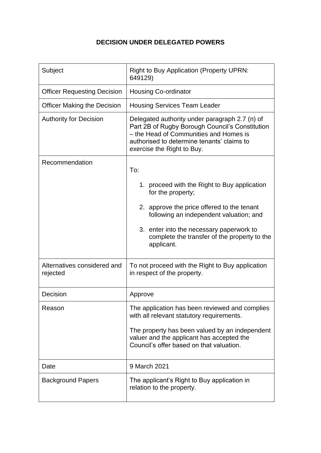## **DECISION UNDER DELEGATED POWERS**

| Subject                                 | <b>Right to Buy Application (Property UPRN:</b><br>649129)                                                                                                                                                              |
|-----------------------------------------|-------------------------------------------------------------------------------------------------------------------------------------------------------------------------------------------------------------------------|
| <b>Officer Requesting Decision</b>      | <b>Housing Co-ordinator</b>                                                                                                                                                                                             |
| <b>Officer Making the Decision</b>      | <b>Housing Services Team Leader</b>                                                                                                                                                                                     |
| <b>Authority for Decision</b>           | Delegated authority under paragraph 2.7 (n) of<br>Part 2B of Rugby Borough Council's Constitution<br>- the Head of Communities and Homes is<br>authorised to determine tenants' claims to<br>exercise the Right to Buy. |
| Recommendation                          | To:                                                                                                                                                                                                                     |
|                                         | 1. proceed with the Right to Buy application<br>for the property;                                                                                                                                                       |
|                                         | 2. approve the price offered to the tenant<br>following an independent valuation; and                                                                                                                                   |
|                                         | 3. enter into the necessary paperwork to<br>complete the transfer of the property to the<br>applicant.                                                                                                                  |
| Alternatives considered and<br>rejected | To not proceed with the Right to Buy application<br>in respect of the property.                                                                                                                                         |
| Decision                                | Approve                                                                                                                                                                                                                 |
| Reason                                  | The application has been reviewed and complies<br>with all relevant statutory requirements.                                                                                                                             |
|                                         | The property has been valued by an independent<br>valuer and the applicant has accepted the<br>Council's offer based on that valuation.                                                                                 |
| Date                                    | 9 March 2021                                                                                                                                                                                                            |
| <b>Background Papers</b>                | The applicant's Right to Buy application in<br>relation to the property.                                                                                                                                                |